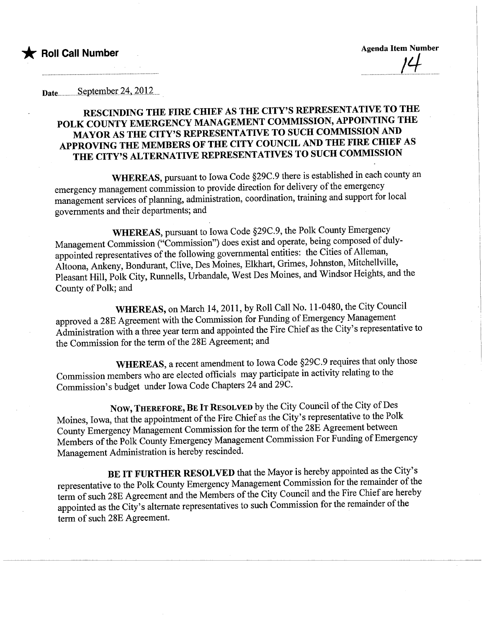Date<sub>um</sub>September 24, 2012

## RESCINDING THE FIRE CHIEF AS THE CITY'S REPRESENTATIVE TO THE POLK COUNTY EMERGENCY MANAGEMENT COMMISSION, APPOINTING THE MAYOR AS THE CITY'S REPRESENTATIVE TO SUCH COMMISSION AND APPROVING THE MEMBERS OF THE CITY COUNCIL AND THE FIRE CHIEF AS THE CITY'S ALTERNATIVE REPRESENTATIVES TO SUCH COMMISSION

WHEREAS, pursuant to Iowa Code §29C.9 there is established in each county an emergency management commission to provide direction for delivery of the emergency management services of planning, administration, coordination, training and support for local governents and their deparments; and

WHEREAS, pursuant to Iowa Code §29C.9, the Polk County Emergency Management Commission ("Commission") does exist and operate, being composed of dulyappointed representatives of the following governental entities: the Cities of Alleman, Altoona, Ankeny, Bondurant, Clive, Des Moines, Elkhart, Grimes, Johnston, Mitchellville, Pleasant Hil, Polk City, Runells, Urbandale, West Des Moines, and Windsor Heights, and the County of Polk; and

WHEREAS, on March 14, 2011, by Roll Call No. 11-0480, the City Council approved a 28E Agreement with the Commission for Funding of Emergency Management Administration with a three year term and appointed the Fire Chief as the City's representative to the Commission for the term of the 28E Agreement; and

WHEREAS, a recent amendment to Iowa Code §29C.9 requires that only those Commission members who are elected officials may participate in activity relating to the Commission's budget under Iowa Code Chapters 24 and 29C.

Now, THEREFORE, BE IT RESOLVED by the City Council of the City of Des Moines, Iowa, that the appointment of the Fire Chief as the City's representative to the Polk County Emergency Management Commission for the term of the 28E Agreement between Members of the Polk County Emergency Management Commission For Funding of Emergency Management Administration is hereby rescinded.

BE IT FURTHER RESOLVED that the Mayor is hereby appointed as the City's representative to the Polk County Emergency Management Commission for the remainder of the term of such 28E Agreement and the Members of the City Council and the Fire Chief are hereby appointed as the City's alternate representatives to such Commission for the remainder of the term of such 28E Agreement.